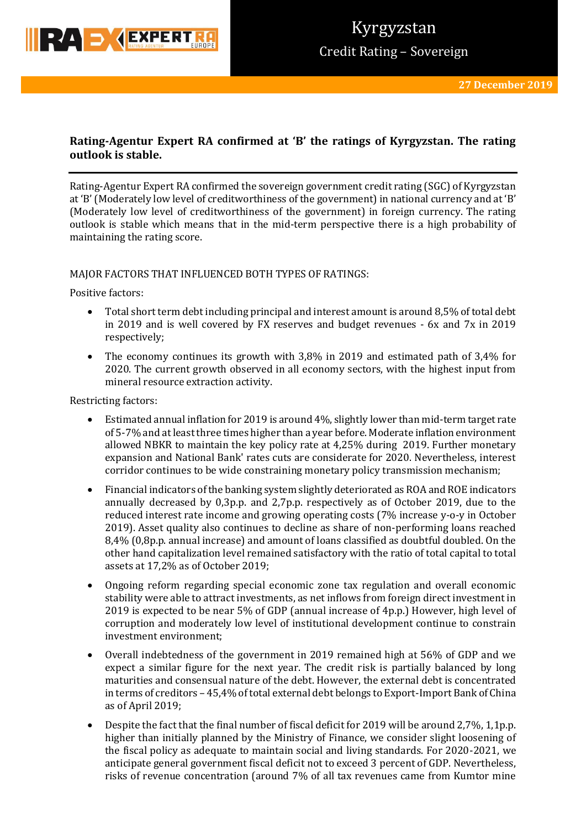

# **Rating-Agentur Expert RA confirmed at 'B' the ratings of Kyrgyzstan. The rating outlook is stable.**

Rating-Agentur Expert RA confirmed the sovereign government credit rating (SGC) of Kyrgyzstan at 'B' (Moderately low level of creditworthiness of the government) in national currency and at 'B' (Moderately low level of creditworthiness of the government) in foreign currency. The rating outlook is stable which means that in the mid-term perspective there is a high probability of maintaining the rating score.

### MAJOR FACTORS THAT INFLUENCED BOTH TYPES OF RATINGS:

Positive factors:

- Total short term debt including principal and interest amount is around 8,5% of total debt in 2019 and is well covered by FX reserves and budget revenues - 6x and 7x in 2019 respectively;
- The economy continues its growth with 3,8% in 2019 and estimated path of 3,4% for 2020. The current growth observed in all economy sectors, with the highest input from mineral resource extraction activity.

Restricting factors:

- Estimated annual inflation for 2019 is around 4%, slightly lower than mid-term target rate of 5-7% and at least three times higher than a year before. Moderate inflation environment allowed NBKR to maintain the key policy rate at 4,25% during 2019. Further monetary expansion and National Bank' rates cuts are considerate for 2020. Nevertheless, interest corridor continues to be wide constraining monetary policy transmission mechanism;
- Financial indicators of the banking system slightly deteriorated as ROA and ROE indicators annually decreased by 0,3p.p. and 2,7p.p. respectively as of October 2019, due to the reduced interest rate income and growing operating costs (7% increase y-o-y in October 2019). Asset quality also continues to decline as share of non-performing loans reached 8,4% (0,8p.p. annual increase) and amount of loans classified as doubtful doubled. On the other hand capitalization level remained satisfactory with the ratio of total capital to total assets at 17,2% as of October 2019;
- Ongoing reform regarding special economic zone tax regulation and overall economic stability were able to attract investments, as net inflows from foreign direct investment in 2019 is expected to be near 5% of GDP (annual increase of 4p.p.) However, high level of corruption and moderately low level of institutional development continue to constrain investment environment;
- Overall indebtedness of the government in 2019 remained high at 56% of GDP and we expect a similar figure for the next year. The credit risk is partially balanced by long maturities and consensual nature of the debt. However, the external debt is concentrated in terms of creditors – 45,4% of total external debt belongs to Export-Import Bank of China as of April 2019;
- Despite the fact that the final number of fiscal deficit for 2019 will be around 2,7%, 1,1p.p. higher than initially planned by the Ministry of Finance, we consider slight loosening of the fiscal policy as adequate to maintain social and living standards. For 2020-2021, we anticipate general government fiscal deficit not to exceed 3 percent of GDP. Nevertheless, risks of revenue concentration (around 7% of all tax revenues came from Kumtor mine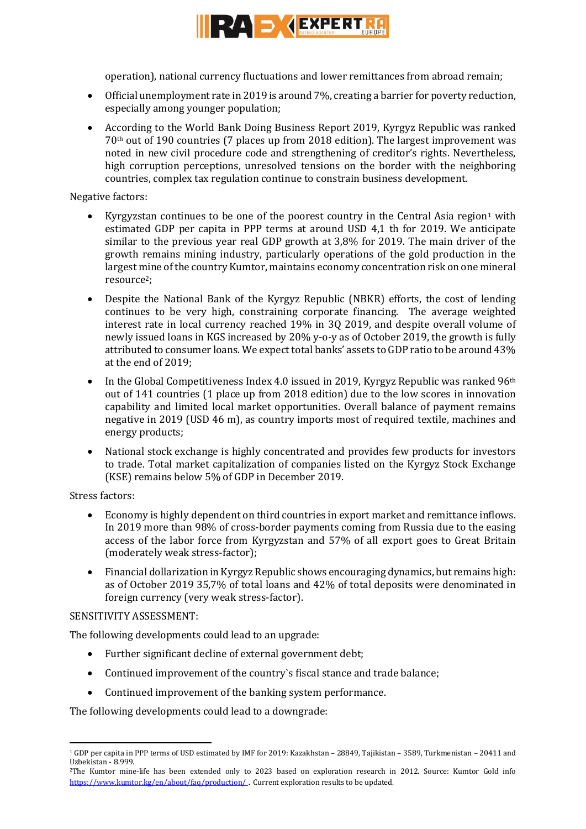

operation), national currency fluctuations and lower remittances from abroad remain;

- Official unemployment rate in 2019 is around 7%, creating a barrier for poverty reduction, especially among younger population;
- According to the World Bank Doing Business Report 2019, Kyrgyz Republic was ranked 70th out of 190 countries (7 places up from 2018 edition). The largest improvement was noted in new civil procedure code and strengthening of creditor's rights. Nevertheless, high corruption perceptions, unresolved tensions on the border with the neighboring countries, complex tax regulation continue to constrain business development.

### Negative factors:

- Kyrgyzstan continues to be one of the poorest country in the Central Asia region<sup>1</sup> with estimated GDP per capita in PPP terms at around USD 4,1 th for 2019. We anticipate similar to the previous year real GDP growth at 3,8% for 2019. The main driver of the growth remains mining industry, particularly operations of the gold production in the largest mine of the country Kumtor, maintains economy concentration risk on one mineral resource2;
- Despite the National Bank of the Kyrgyz Republic (NBKR) efforts, the cost of lending continues to be very high, constraining corporate financing. The average weighted interest rate in local currency reached 19% in 3Q 2019, and despite overall volume of newly issued loans in KGS increased by 20% y-o-y as of October 2019, the growth is fully attributed to consumer loans. We expect total banks' assets to GDP ratio to be around 43% at the end of 2019;
- In the Global Competitiveness Index 4.0 issued in 2019, Kyrgyz Republic was ranked 96<sup>th</sup> out of 141 countries (1 place up from 2018 edition) due to the low scores in innovation capability and limited local market opportunities. Overall balance of payment remains negative in 2019 (USD 46 m), as country imports most of required textile, machines and energy products;
- National stock exchange is highly concentrated and provides few products for investors to trade. Total market capitalization of companies listed on the Kyrgyz Stock Exchange (KSE) remains below 5% of GDP in December 2019.

## Stress factors:

1

- Economy is highly dependent on third countries in export market and remittance inflows. In 2019 more than 98% of cross-border payments coming from Russia due to the easing access of the labor force from Kyrgyzstan and 57% of all export goes to Great Britain (moderately weak stress-factor);
- Financial dollarization in Kyrgyz Republic shows encouraging dynamics, but remains high: as of October 2019 35,7% of total loans and 42% of total deposits were denominated in foreign currency (very weak stress-factor).

### SENSITIVITY ASSESSMENT:

The following developments could lead to an upgrade:

- Further significant decline of external government debt;
- Continued improvement of the country`s fiscal stance and trade balance;
- Continued improvement of the banking system performance.

The following developments could lead to a downgrade:

<sup>1</sup> GDP per capita in PPP terms of USD estimated by IMF for 2019: Kazakhstan – 28849, Tajikistan – 3589, Turkmenistan – 20411 and Uzbekistan - 8.999.

<sup>2</sup>The Kumtor mine-life has been extended only to 2023 based on exploration research in 2012. Source: Kumtor Gold info <https://www.kumtor.kg/en/about/faq/production/>. Current exploration results to be updated.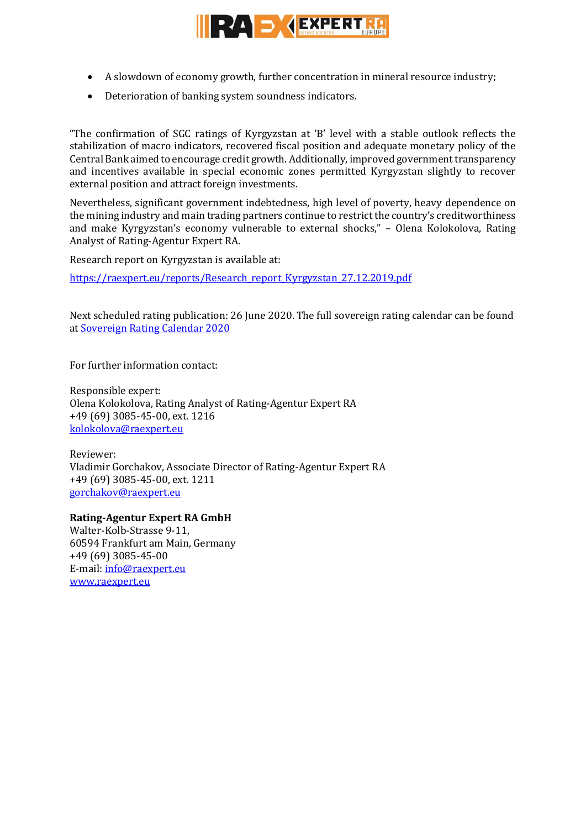

- A slowdown of economy growth, further concentration in mineral resource industry;
- Deterioration of banking system soundness indicators.

"The confirmation of SGC ratings of Kyrgyzstan at 'B' level with a stable outlook reflects the stabilization of macro indicators, recovered fiscal position and adequate monetary policy of the Central Bank aimed to encourage credit growth. Additionally, improved government transparency and incentives available in special economic zones permitted Kyrgyzstan slightly to recover external position and attract foreign investments.

Nevertheless, significant government indebtedness, high level of poverty, heavy dependence on the mining industry and main trading partners continue to restrict the country's creditworthiness and make Kyrgyzstan's economy vulnerable to external shocks," – Olena Kolokolova, Rating Analyst of Rating-Agentur Expert RA.

Research report on Kyrgyzstan is available at:

https://raexpert.eu/reports/Research\_report\_Kyrgyzstan\_27.12.2019.pdf

Next scheduled rating publication: 26 June 2020. The full sovereign rating calendar can be found at [Sovereign Rating Calendar 2020](https://raexpert.eu/sovereign/#conf-tab-5)

For further information contact:

Responsible expert: Olena Kolokolova, Rating Analyst of Rating-Agentur Expert RA +49 (69) 3085-45-00, ext. 1216 [kolokolova@raexpert.eu](mailto:kolokolova@raexpert.eu)

Reviewer: Vladimir Gorchakov, Associate Director of Rating-Agentur Expert RA +49 (69) 3085-45-00, ext. 1211 [gorchakov@raexpert.eu](mailto:gorchakov@raexpert.eu)

**Rating-Agentur Expert RA GmbH** Walter-Kolb-Strasse 9-11, 60594 Frankfurt am Main, Germany +49 (69) 3085-45-00 E-mail[: info@raexpert.eu](mailto:info@raexpert.eu) [www.raexpert.eu](http://raexpert.eu/)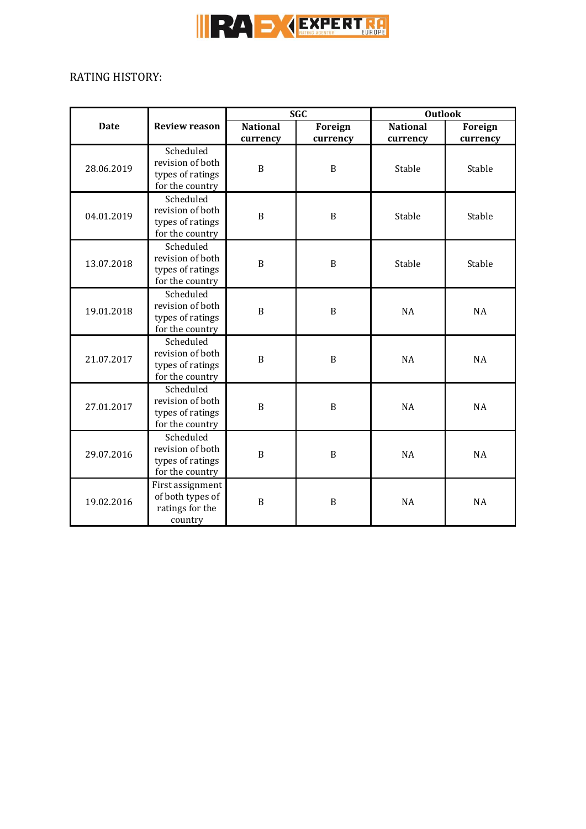

# RATING HISTORY:

|             |                                                                      | <b>SGC</b>                  |                     | <b>Outlook</b>              |                            |
|-------------|----------------------------------------------------------------------|-----------------------------|---------------------|-----------------------------|----------------------------|
| <b>Date</b> | <b>Review reason</b>                                                 | <b>National</b><br>currency | Foreign<br>currency | <b>National</b><br>currency | <b>Foreign</b><br>currency |
| 28.06.2019  | Scheduled<br>revision of both<br>types of ratings<br>for the country | $\boldsymbol{B}$            | $\, {\bf B}$        | Stable                      | Stable                     |
| 04.01.2019  | Scheduled<br>revision of both<br>types of ratings<br>for the country | $\boldsymbol{B}$            | $\, {\bf B}$        | Stable                      | Stable                     |
| 13.07.2018  | Scheduled<br>revision of both<br>types of ratings<br>for the country | B                           | $\mathbf B$         | Stable                      | Stable                     |
| 19.01.2018  | Scheduled<br>revision of both<br>types of ratings<br>for the country | $\boldsymbol{B}$            | $\mathbf B$         | <b>NA</b>                   | <b>NA</b>                  |
| 21.07.2017  | Scheduled<br>revision of both<br>types of ratings<br>for the country | $\, {\bf B}$                | $\, {\bf B}$        | <b>NA</b>                   | <b>NA</b>                  |
| 27.01.2017  | Scheduled<br>revision of both<br>types of ratings<br>for the country | $\mathbf B$                 | $\mathbf B$         | <b>NA</b>                   | <b>NA</b>                  |
| 29.07.2016  | Scheduled<br>revision of both<br>types of ratings<br>for the country | $\mathbf B$                 | $\mathbf B$         | <b>NA</b>                   | <b>NA</b>                  |
| 19.02.2016  | First assignment<br>of both types of<br>ratings for the<br>country   | $\, {\bf B}$                | $\, {\bf B}$        | <b>NA</b>                   | <b>NA</b>                  |